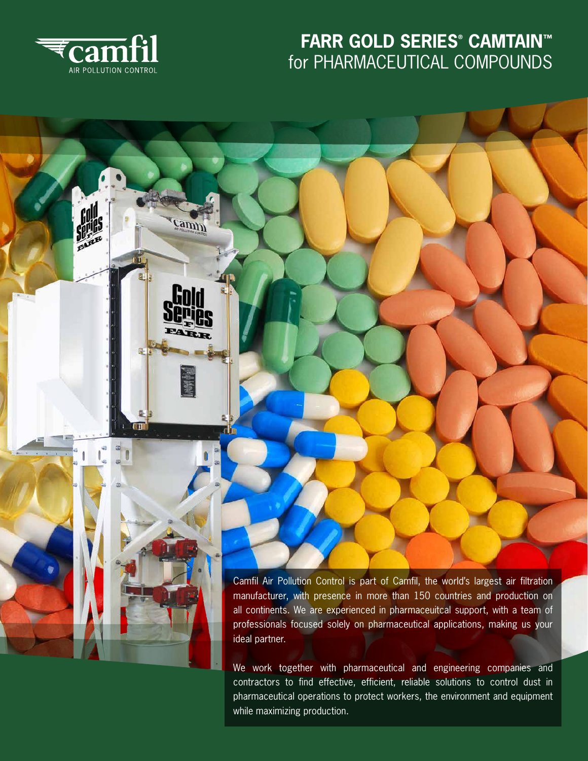

跳

camin

## **FARR GOLD SERIES® CAMTAIN™** for PHARMACEUTICAL COMPOUNDS



Camfil Air Pollution Control is part of Camfil, the world's largest air filtration manufacturer, with presence in more than 150 countries and production on all continents. We are experienced in pharmaceuitcal support, with a team of professionals focused solely on pharmaceutical applications, making us your ideal partner.

We work together with pharmaceutical and engineering companies and contractors to find effective, efficient, reliable solutions to control dust in pharmaceutical operations to protect workers, the environment and equipment while maximizing production.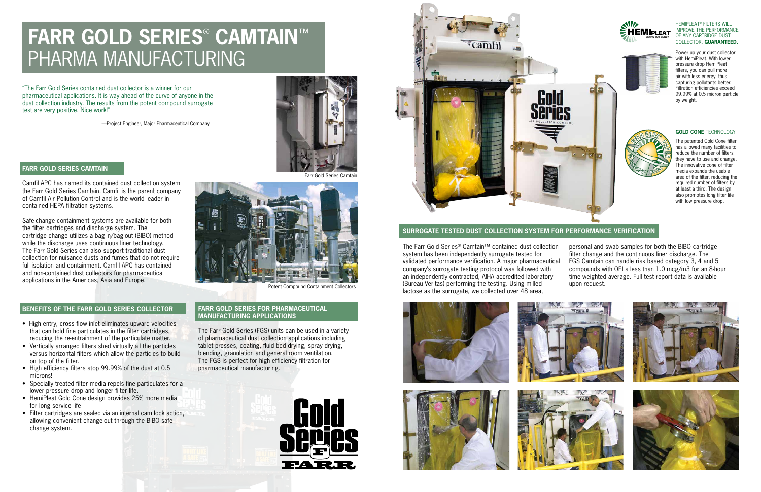### **FARR GOLD SERIES CAMTAIN**

Camfil APC has named its contained dust collection system the Farr Gold Series Camtain. Camfil is the parent company of Camfil Air Pollution Control and is the world leader in contained HEPA filtration systems.

Safe-change containment systems are available for both the filter cartridges and discharge system. The cartridge change utilizes a bag-in/bag-out (BIBO) method while the discharge uses continuous liner technology. The Farr Gold Series can also support traditional dust collection for nuisance dusts and fumes that do not require full isolation and containment. Camfil APC has contained and non-contained dust collectors for pharmaceutical applications in the Americas, Asia and Europe.

#### **BENEFITS OF THE FARR GOLD SERIES COLLECTOR**

- High entry, cross flow inlet eliminates upward velocities that can hold fine particulates in the filter cartridges, reducing the re-entrainment of the particulate matter.
- Vertically arranged filters shed virtually all the particles versus horizontal filters which allow the particles to build on top of the filter.
- High efficiency filters stop 99.99% of the dust at 0.5 microns!
- Specially treated filter media repels fine particulates for a lower pressure drop and longer filter life.
- HemiPleat Gold Cone design provides 25% more media for long service life
- Filter cartridges are sealed via an internal cam lock action, allowing convenient change-out through the BIBO safechange system.

### **FARR GOLD SERIES FOR PHARMACEUTICAL MANUFACTURING APPLICATIONS**

The Farr Gold Series (FGS) units can be used in a variety of pharmaceutical dust collection applications including tablet presses, coating, fluid bed drying, spray drying, blending, granulation and general room ventilation. The FGS is perfect for high efficiency filtration for pharmaceutical manufacturing.





The Farr Gold Series® Camtain™ contained dust collection system has been independently surrogate tested for validated performance verification. A major pharmaceutical company's surrogate testing protocol was followed with an independently contracted, AIHA accredited laboratory (Bureau Veritas) performing the testing. Using milled lactose as the surrogate, we collected over 48 area, personal and swab samples for both the BIBO cartridge filter change and the continuous liner discharge. The FGS Camtain can handle risk based category 3, 4 and 5 compounds with OELs less than 1.0 mcg/m3 for an 8-hour time weighted average. Full test report data is available upon request.









"The Farr Gold Series contained dust collector is a winner for our pharmaceutical applications. It is way ahead of the curve of anyone in the dust collection industry. The results from the potent compound surrogate test are very positive. Nice work!"

—Project Engineer, Major Pharmaceutical Company



Potent Compound Containment Collectors



# **FARR GOLD SERIES**®  **CAMTAIN**™ PHARMA MANUFACTURING

#### HEMIPLEAT® FILTERS WILL IMPROVE THE PERFORMANCE OF ANY CARTRIDGE DUST COLLECTOR. **GUARANTEED.**

The patented Gold Cone filter has allowed many facilities to reduce the number of filters they have to use and change. The innovative cone of filter media expands the usable area of the filter, reducing the required number of filters by at least a third. The design also promotes long filter life with low pressure drop.







#### **GOLD CONE** TECHNOLOGY

Power up your dust collector with HemiPleat. With lower pressure drop HemiPleat filters, you can pull more air with less energy, thus capturing pollutants better. Filtration efficiencies exceed 99.99% at 0.5 micron particle by weight.





#### **SURROGATE TESTED DUST COLLECTION SYSTEM FOR PERFORMANCE VERIFICATION**